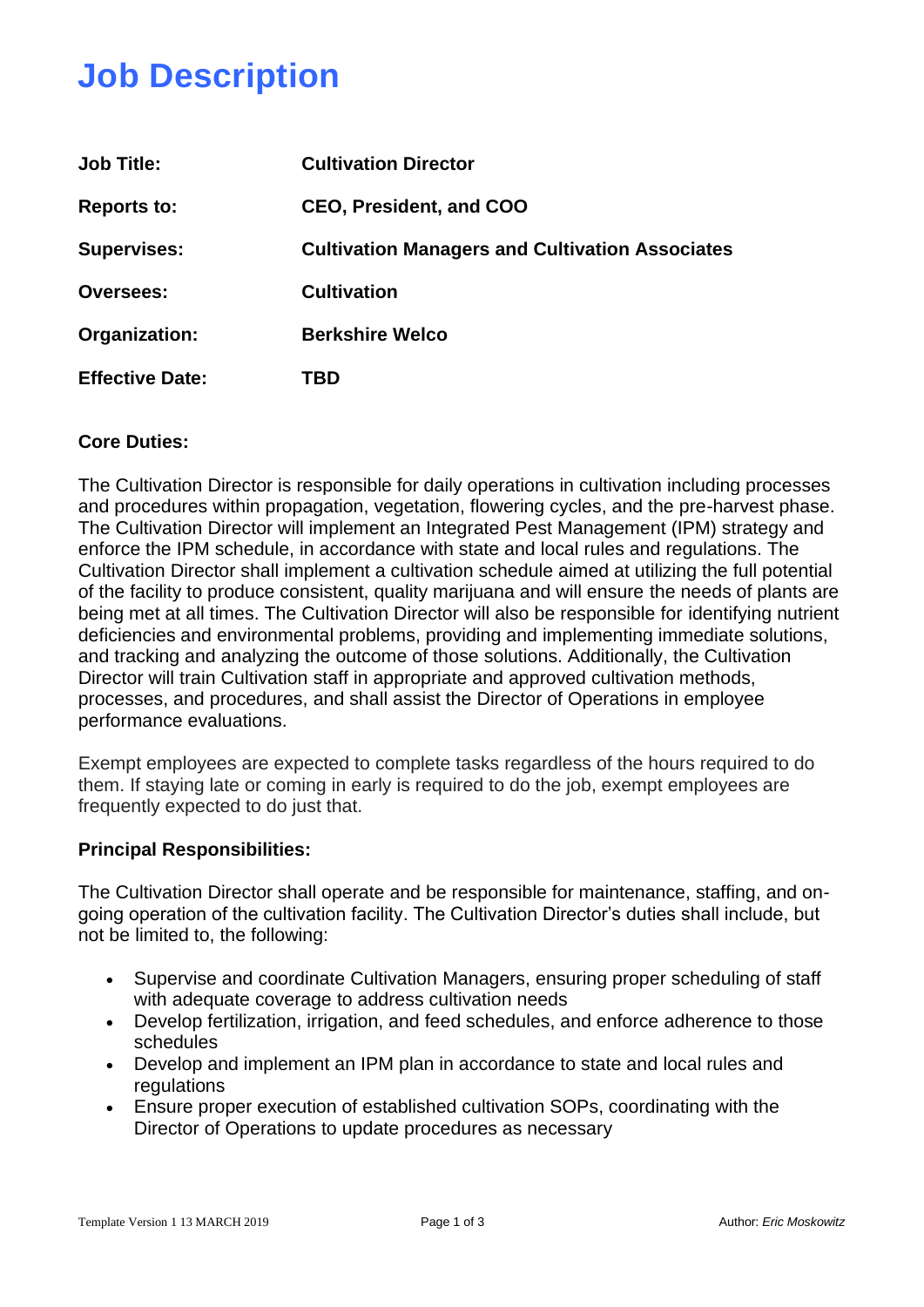## **Job Description**

| <b>Job Title:</b>      | <b>Cultivation Director</b>                            |  |
|------------------------|--------------------------------------------------------|--|
| <b>Reports to:</b>     | <b>CEO. President, and COO</b>                         |  |
| <b>Supervises:</b>     | <b>Cultivation Managers and Cultivation Associates</b> |  |
| <b>Oversees:</b>       | <b>Cultivation</b>                                     |  |
| Organization:          | <b>Berkshire Welco</b>                                 |  |
| <b>Effective Date:</b> | TBD                                                    |  |

## **Core Duties:**

The Cultivation Director is responsible for daily operations in cultivation including processes and procedures within propagation, vegetation, flowering cycles, and the pre-harvest phase. The Cultivation Director will implement an Integrated Pest Management (IPM) strategy and enforce the IPM schedule, in accordance with state and local rules and regulations. The Cultivation Director shall implement a cultivation schedule aimed at utilizing the full potential of the facility to produce consistent, quality marijuana and will ensure the needs of plants are being met at all times. The Cultivation Director will also be responsible for identifying nutrient deficiencies and environmental problems, providing and implementing immediate solutions, and tracking and analyzing the outcome of those solutions. Additionally, the Cultivation Director will train Cultivation staff in appropriate and approved cultivation methods, processes, and procedures, and shall assist the Director of Operations in employee performance evaluations.

Exempt employees are expected to complete tasks regardless of the hours required to do them. If staying late or coming in early is required to do the job, exempt employees are frequently expected to do just that.

#### **Principal Responsibilities:**

The Cultivation Director shall operate and be responsible for maintenance, staffing, and ongoing operation of the cultivation facility. The Cultivation Director's duties shall include, but not be limited to, the following:

- Supervise and coordinate Cultivation Managers, ensuring proper scheduling of staff with adequate coverage to address cultivation needs
- Develop fertilization, irrigation, and feed schedules, and enforce adherence to those schedules
- Develop and implement an IPM plan in accordance to state and local rules and regulations
- Ensure proper execution of established cultivation SOPs, coordinating with the Director of Operations to update procedures as necessary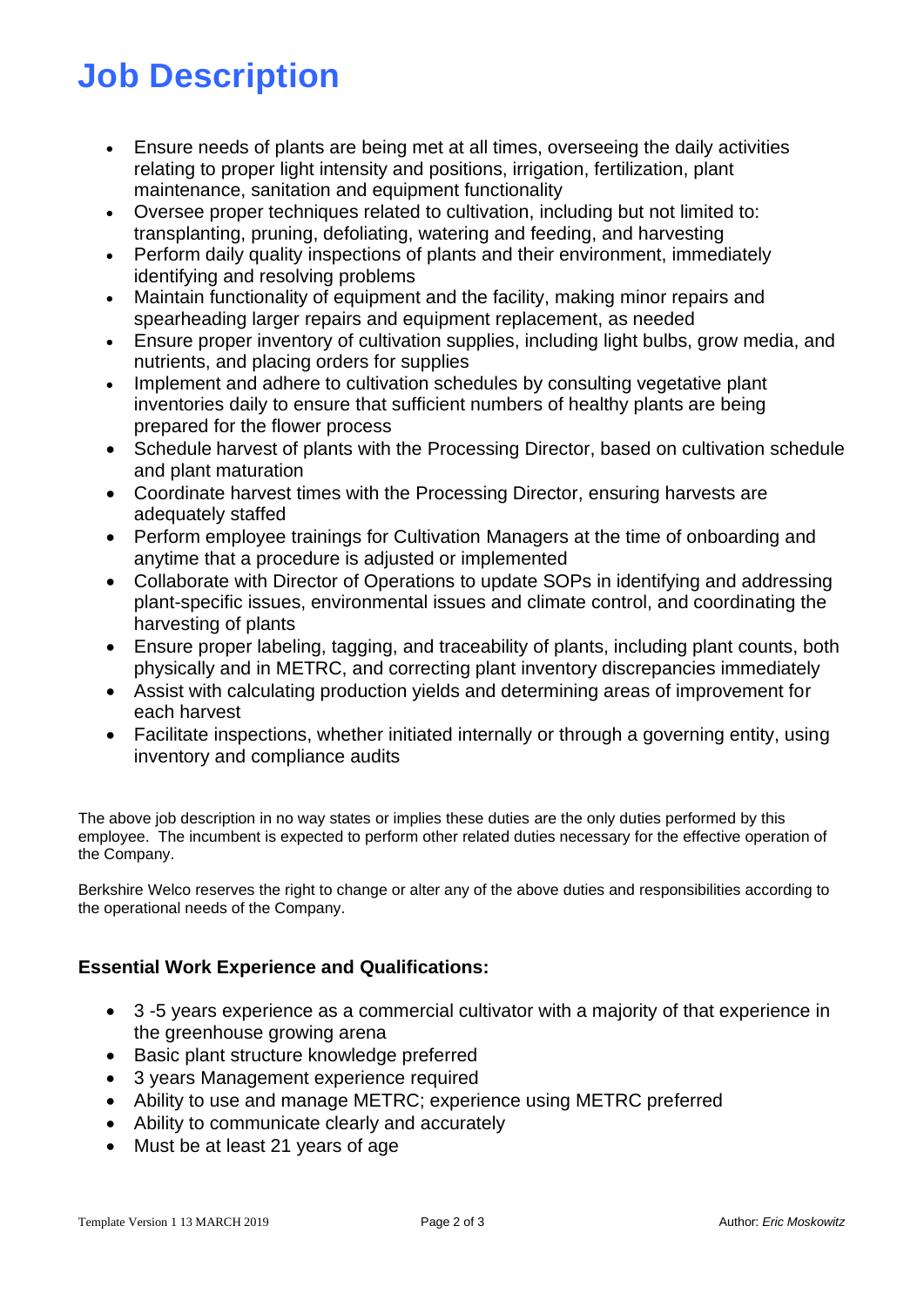# **Job Description**

- Ensure needs of plants are being met at all times, overseeing the daily activities relating to proper light intensity and positions, irrigation, fertilization, plant maintenance, sanitation and equipment functionality
- Oversee proper techniques related to cultivation, including but not limited to: transplanting, pruning, defoliating, watering and feeding, and harvesting
- Perform daily quality inspections of plants and their environment, immediately identifying and resolving problems
- Maintain functionality of equipment and the facility, making minor repairs and spearheading larger repairs and equipment replacement, as needed
- Ensure proper inventory of cultivation supplies, including light bulbs, grow media, and nutrients, and placing orders for supplies
- Implement and adhere to cultivation schedules by consulting vegetative plant inventories daily to ensure that sufficient numbers of healthy plants are being prepared for the flower process
- Schedule harvest of plants with the Processing Director, based on cultivation schedule and plant maturation
- Coordinate harvest times with the Processing Director, ensuring harvests are adequately staffed
- Perform employee trainings for Cultivation Managers at the time of onboarding and anytime that a procedure is adjusted or implemented
- Collaborate with Director of Operations to update SOPs in identifying and addressing plant-specific issues, environmental issues and climate control, and coordinating the harvesting of plants
- Ensure proper labeling, tagging, and traceability of plants, including plant counts, both physically and in METRC, and correcting plant inventory discrepancies immediately
- Assist with calculating production yields and determining areas of improvement for each harvest
- Facilitate inspections, whether initiated internally or through a governing entity, using inventory and compliance audits

The above job description in no way states or implies these duties are the only duties performed by this employee. The incumbent is expected to perform other related duties necessary for the effective operation of the Company.

Berkshire Welco reserves the right to change or alter any of the above duties and responsibilities according to the operational needs of the Company.

## **Essential Work Experience and Qualifications:**

- 3 -5 years experience as a commercial cultivator with a majority of that experience in the greenhouse growing arena
- Basic plant structure knowledge preferred
- 3 years Management experience required
- Ability to use and manage METRC; experience using METRC preferred
- Ability to communicate clearly and accurately
- Must be at least 21 years of age